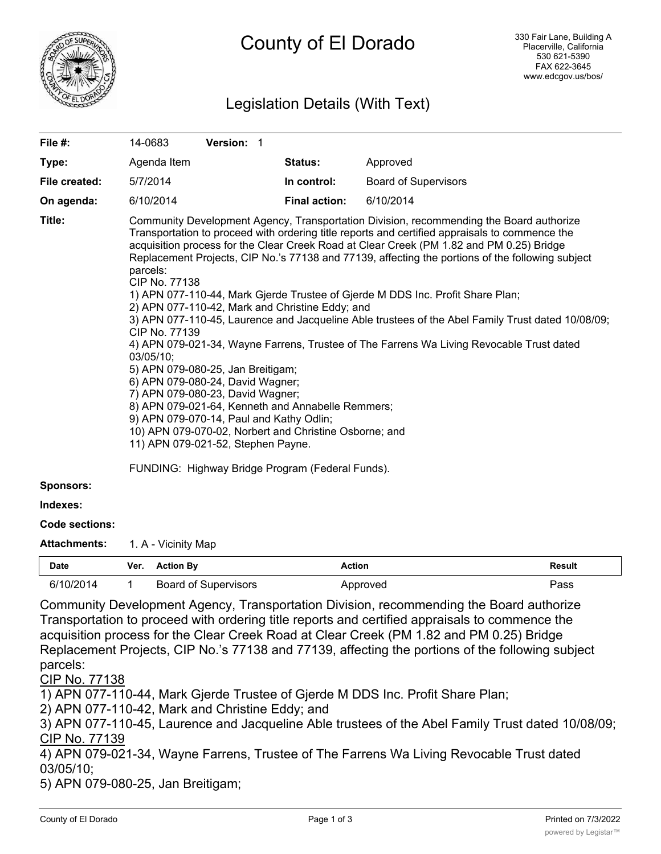

# County of El Dorado

# Legislation Details (With Text)

| File #:               | 14-0683                                                                                                                                                                                                                                                                                                                                                                                                                                                                                                                                                                                                                                                                                                                                                                                                                                                                                                                                                                                                                                                                                                                                                         | Version: 1 |  |                      |                             |
|-----------------------|-----------------------------------------------------------------------------------------------------------------------------------------------------------------------------------------------------------------------------------------------------------------------------------------------------------------------------------------------------------------------------------------------------------------------------------------------------------------------------------------------------------------------------------------------------------------------------------------------------------------------------------------------------------------------------------------------------------------------------------------------------------------------------------------------------------------------------------------------------------------------------------------------------------------------------------------------------------------------------------------------------------------------------------------------------------------------------------------------------------------------------------------------------------------|------------|--|----------------------|-----------------------------|
| Type:                 | Agenda Item                                                                                                                                                                                                                                                                                                                                                                                                                                                                                                                                                                                                                                                                                                                                                                                                                                                                                                                                                                                                                                                                                                                                                     |            |  | Status:              | Approved                    |
| File created:         | 5/7/2014                                                                                                                                                                                                                                                                                                                                                                                                                                                                                                                                                                                                                                                                                                                                                                                                                                                                                                                                                                                                                                                                                                                                                        |            |  | In control:          | <b>Board of Supervisors</b> |
| On agenda:            | 6/10/2014                                                                                                                                                                                                                                                                                                                                                                                                                                                                                                                                                                                                                                                                                                                                                                                                                                                                                                                                                                                                                                                                                                                                                       |            |  | <b>Final action:</b> | 6/10/2014                   |
| Title:                | Community Development Agency, Transportation Division, recommending the Board authorize<br>Transportation to proceed with ordering title reports and certified appraisals to commence the<br>acquisition process for the Clear Creek Road at Clear Creek (PM 1.82 and PM 0.25) Bridge<br>Replacement Projects, CIP No.'s 77138 and 77139, affecting the portions of the following subject<br>parcels:<br>CIP No. 77138<br>1) APN 077-110-44, Mark Gjerde Trustee of Gjerde M DDS Inc. Profit Share Plan;<br>2) APN 077-110-42, Mark and Christine Eddy; and<br>3) APN 077-110-45, Laurence and Jacqueline Able trustees of the Abel Family Trust dated 10/08/09;<br>CIP No. 77139<br>4) APN 079-021-34, Wayne Farrens, Trustee of The Farrens Wa Living Revocable Trust dated<br>$03/05/10$ ;<br>5) APN 079-080-25, Jan Breitigam;<br>6) APN 079-080-24, David Wagner;<br>7) APN 079-080-23, David Wagner;<br>8) APN 079-021-64, Kenneth and Annabelle Remmers;<br>9) APN 079-070-14, Paul and Kathy Odlin;<br>10) APN 079-070-02, Norbert and Christine Osborne; and<br>11) APN 079-021-52, Stephen Payne.<br>FUNDING: Highway Bridge Program (Federal Funds). |            |  |                      |                             |
| <b>Sponsors:</b>      |                                                                                                                                                                                                                                                                                                                                                                                                                                                                                                                                                                                                                                                                                                                                                                                                                                                                                                                                                                                                                                                                                                                                                                 |            |  |                      |                             |
| Indexes:              |                                                                                                                                                                                                                                                                                                                                                                                                                                                                                                                                                                                                                                                                                                                                                                                                                                                                                                                                                                                                                                                                                                                                                                 |            |  |                      |                             |
| <b>Code sections:</b> |                                                                                                                                                                                                                                                                                                                                                                                                                                                                                                                                                                                                                                                                                                                                                                                                                                                                                                                                                                                                                                                                                                                                                                 |            |  |                      |                             |
| <b>Attachments:</b>   | 1. A - Vicinity Map                                                                                                                                                                                                                                                                                                                                                                                                                                                                                                                                                                                                                                                                                                                                                                                                                                                                                                                                                                                                                                                                                                                                             |            |  |                      |                             |

| Date      | Ver. | ∵tion Bv             | Action | Result |
|-----------|------|----------------------|--------|--------|
| 6/10/2014 |      | Board of Supervisors | oroved | 'ass   |

Community Development Agency, Transportation Division, recommending the Board authorize Transportation to proceed with ordering title reports and certified appraisals to commence the acquisition process for the Clear Creek Road at Clear Creek (PM 1.82 and PM 0.25) Bridge Replacement Projects, CIP No.'s 77138 and 77139, affecting the portions of the following subject parcels:

CIP No. 77138

1) APN 077-110-44, Mark Gjerde Trustee of Gjerde M DDS Inc. Profit Share Plan;

2) APN 077-110-42, Mark and Christine Eddy; and

3) APN 077-110-45, Laurence and Jacqueline Able trustees of the Abel Family Trust dated 10/08/09; CIP No. 77139

4) APN 079-021-34, Wayne Farrens, Trustee of The Farrens Wa Living Revocable Trust dated 03/05/10;

5) APN 079-080-25, Jan Breitigam;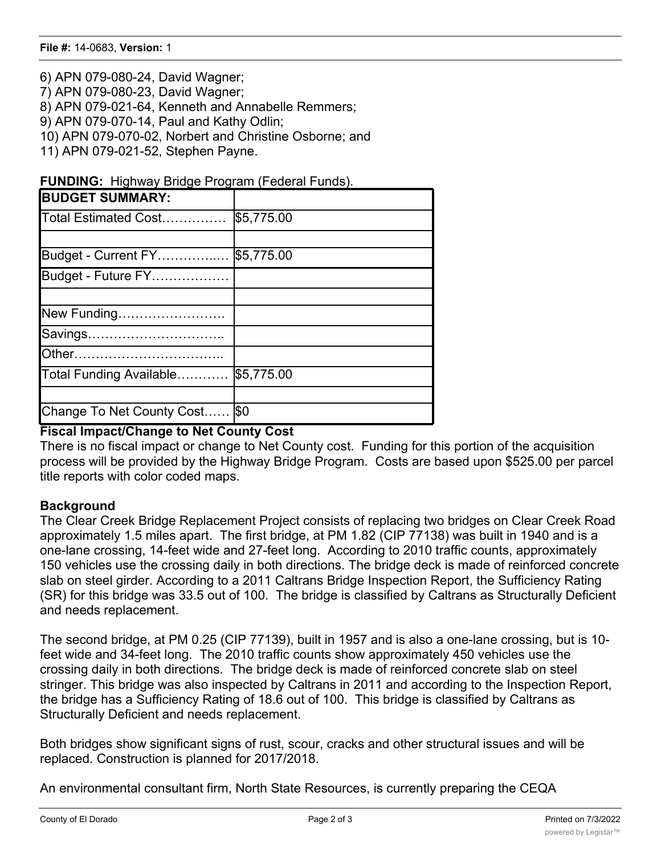6) APN 079-080-24, David Wagner; 7) APN 079-080-23, David Wagner; 8) APN 079-021-64, Kenneth and Annabelle Remmers; 9) APN 079-070-14, Paul and Kathy Odlin; 10) APN 079-070-02, Norbert and Christine Osborne; and 11) APN 079-021-52, Stephen Payne.

**FUNDING:** Highway Bridge Program (Federal Funds).

| <b>BUDGET SUMMARY:</b>        |            |
|-------------------------------|------------|
| Total Estimated Cost          | \$5,775.00 |
|                               |            |
| Budget - Current FY           | \$5,775.00 |
| Budget - Future FY            |            |
|                               |            |
| New Funding                   |            |
| Savings                       |            |
|                               |            |
| Total Funding Available       | \$5,775.00 |
|                               |            |
| Change To Net County Cost \$0 |            |

### **Fiscal Impact/Change to Net County Cost**

There is no fiscal impact or change to Net County cost. Funding for this portion of the acquisition process will be provided by the Highway Bridge Program. Costs are based upon \$525.00 per parcel title reports with color coded maps.

## **Background**

The Clear Creek Bridge Replacement Project consists of replacing two bridges on Clear Creek Road approximately 1.5 miles apart. The first bridge, at PM 1.82 (CIP 77138) was built in 1940 and is a one-lane crossing, 14-feet wide and 27-feet long. According to 2010 traffic counts, approximately 150 vehicles use the crossing daily in both directions. The bridge deck is made of reinforced concrete slab on steel girder. According to a 2011 Caltrans Bridge Inspection Report, the Sufficiency Rating (SR) for this bridge was 33.5 out of 100. The bridge is classified by Caltrans as Structurally Deficient and needs replacement.

The second bridge, at PM 0.25 (CIP 77139), built in 1957 and is also a one-lane crossing, but is 10 feet wide and 34-feet long. The 2010 traffic counts show approximately 450 vehicles use the crossing daily in both directions. The bridge deck is made of reinforced concrete slab on steel stringer. This bridge was also inspected by Caltrans in 2011 and according to the Inspection Report, the bridge has a Sufficiency Rating of 18.6 out of 100. This bridge is classified by Caltrans as Structurally Deficient and needs replacement.

Both bridges show significant signs of rust, scour, cracks and other structural issues and will be replaced. Construction is planned for 2017/2018.

An environmental consultant firm, North State Resources, is currently preparing the CEQA